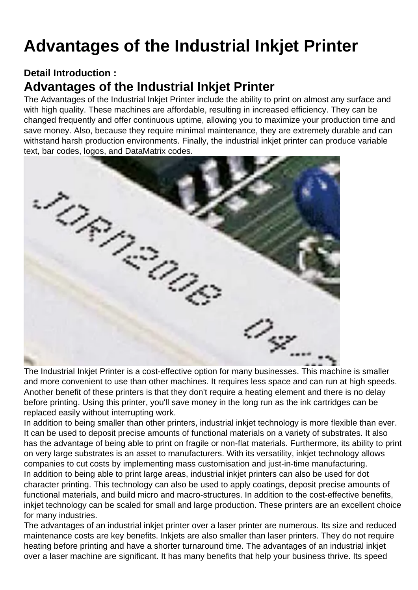## Advantages of the Industrial Inkjet Printer

Detail Introduction :

## Advantages of the Industrial Inkjet Printer

The Advantages of the [Industrial Inkjet Printer](https://hanyipack.com/industrial-inkjet-printer/) include the ability to print on almost any surface and with high quality. These machines are affordable, resulting in increased efficiency. They can be changed frequently and offer continuous uptime, allowing you to maximize your production time and save money. Also, because they require minimal maintenance, they are extremely durable and can withstand harsh production environments. Finally, the industrial inkjet printer can produce variable text, bar codes, logos, and DataMatrix codes.

The Industrial Inkjet Printer is a cost-effective option for many businesses. This machine is smaller and more convenient to use than other machines. It requires less space and can run at high speeds. Another benefit of these printers is that they don't require a heating element and there is no delay before printing. Using this printer, you'll save money in the long run as the ink cartridges can be replaced easily without interrupting work.

In addition to being smaller than other printers, industrial inkjet technology is more flexible than ever. It can be used to deposit precise amounts of functional materials on a variety of substrates. It also has the advantage of being able to print on fragile or non-flat materials. Furthermore, its ability to print on very large substrates is an asset to manufacturers. With its versatility, inkjet technology allows companies to cut costs by implementing mass customisation and just-in-time manufacturing. In addition to being able to print large areas, industrial inkjet printers can also be used for dot character printing. This technology can also be used to apply coatings, deposit precise amounts of functional materials, and build micro and macro-structures. In addition to the cost-effective benefits, inkjet technology can be scaled for small and large production. These printers are an excellent choice for many industries.

The advantages of an industrial inkjet printer over a laser printer are numerous. Its size and reduced maintenance costs are key benefits. Inkjets are also smaller than laser printers. They do not require heating before printing and have a shorter turnaround time. The advantages of an industrial inkjet over a laser machine are significant. It has many benefits that help your business thrive. Its speed